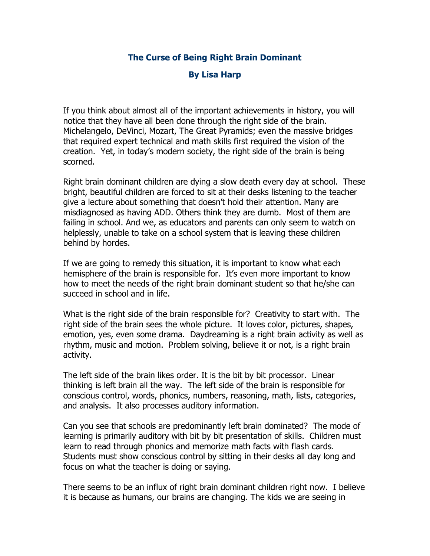## **The Curse of Being Right Brain Dominant**

## **By Lisa Harp**

If you think about almost all of the important achievements in history, you will notice that they have all been done through the right side of the brain. Michelangelo, DeVinci, Mozart, The Great Pyramids; even the massive bridges that required expert technical and math skills first required the vision of the creation. Yet, in today's modern society, the right side of the brain is being scorned.

Right brain dominant children are dying a slow death every day at school. These bright, beautiful children are forced to sit at their desks listening to the teacher give a lecture about something that doesn't hold their attention. Many are misdiagnosed as having ADD. Others think they are dumb. Most of them are failing in school. And we, as educators and parents can only seem to watch on helplessly, unable to take on a school system that is leaving these children behind by hordes.

If we are going to remedy this situation, it is important to know what each hemisphere of the brain is responsible for. It's even more important to know how to meet the needs of the right brain dominant student so that he/she can succeed in school and in life.

What is the right side of the brain responsible for? Creativity to start with. The right side of the brain sees the whole picture. It loves color, pictures, shapes, emotion, yes, even some drama. Daydreaming is a right brain activity as well as rhythm, music and motion. Problem solving, believe it or not, is a right brain activity.

The left side of the brain likes order. It is the bit by bit processor. Linear thinking is left brain all the way. The left side of the brain is responsible for conscious control, words, phonics, numbers, reasoning, math, lists, categories, and analysis. It also processes auditory information.

Can you see that schools are predominantly left brain dominated? The mode of learning is primarily auditory with bit by bit presentation of skills. Children must learn to read through phonics and memorize math facts with flash cards. Students must show conscious control by sitting in their desks all day long and focus on what the teacher is doing or saying.

There seems to be an influx of right brain dominant children right now. I believe it is because as humans, our brains are changing. The kids we are seeing in